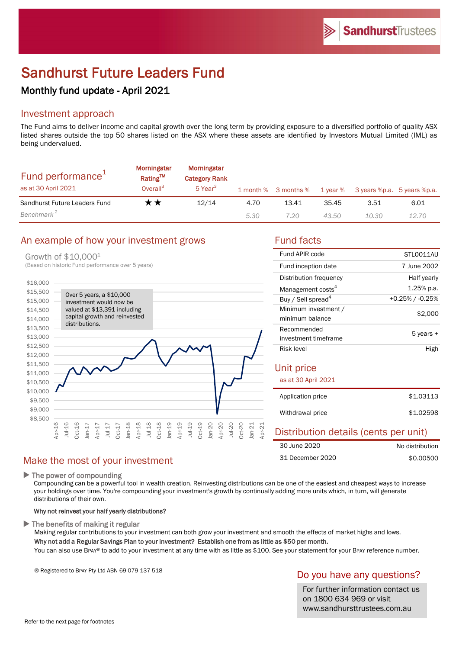# Sandhurst Future Leaders Fund

# Monthly fund update - April 2021

# Investment approach

The Fund aims to deliver income and capital growth over the long term by providing exposure to a diversified portfolio of quality ASX listed shares outside the top 50 shares listed on the ASX where these assets are identified by Investors Mutual Limited (IML) as being undervalued.

| Fund performance <sup>1</sup><br>as at 30 April 2021 | <b>Morningstar</b><br>Rating <sup>TM</sup><br>Overall <sup>3</sup> | Morningstar<br><b>Category Rank</b><br>5 Year <sup>3</sup> |      | 1 month % 3 months % | 1 year % | 3 years %p.a. 5 years %p.a. |       |
|------------------------------------------------------|--------------------------------------------------------------------|------------------------------------------------------------|------|----------------------|----------|-----------------------------|-------|
| Sandhurst Future Leaders Fund                        | r *                                                                | 12/14                                                      | 4.70 | 13.41                | 35.45    | 3.51                        | 6.01  |
| Benchmark <sup>2</sup>                               |                                                                    |                                                            | 5.30 | 7.20                 | 43.50    | 10.30                       | 12.70 |

# An example of how your investment grows Fund facts

#### Growth of \$10,0001



| Fund APIR code                          | STLO011AU          |  |  |  |
|-----------------------------------------|--------------------|--|--|--|
| Fund inception date                     | 7 June 2002        |  |  |  |
| Distribution frequency                  | Half yearly        |  |  |  |
| Management costs <sup>4</sup>           | $1.25\%$ p.a.      |  |  |  |
| Buy / Sell spread <sup>4</sup>          | $+0.25\%$ / -0.25% |  |  |  |
| Minimum investment /<br>minimum balance | \$2,000            |  |  |  |
| Recommended<br>investment timeframe     | 5 years +          |  |  |  |
| Risk level                              | High               |  |  |  |
| Unit price<br>as at 30 April 2021       |                    |  |  |  |
| Application price                       | \$1.03113          |  |  |  |
| Withdrawal price                        | \$1.02598          |  |  |  |

#### Distribution details (cents per unit) No distribution 30 June 2020

|                  | .         |
|------------------|-----------|
| 31 December 2020 | \$0.00500 |
|                  |           |

### $\blacktriangleright$  The power of compounding

Compounding can be a powerful tool in wealth creation. Reinvesting distributions can be one of the easiest and cheapest ways to increase your holdings over time. You're compounding your investment's growth by continually adding more units which, in turn, will generate distributions of their own.

#### Why not reinvest your half yearly distributions?

Make the most of your investment

 $\blacktriangleright$  The benefits of making it regular

Making regular contributions to your investment can both grow your investment and smooth the effects of market highs and lows. Why not add a Regular Savings Plan to your investment? Establish one from as little as \$50 per month.

You can also use BPAY® to add to your investment at any time with as little as \$100. See your statement for your BPAY reference number.

® Registered to BPAY Pty Ltd ABN 69 079 137 518

# Do you have any questions?

For further information contact us on 1800 634 969 or visit www.sandhursttrustees.com.au